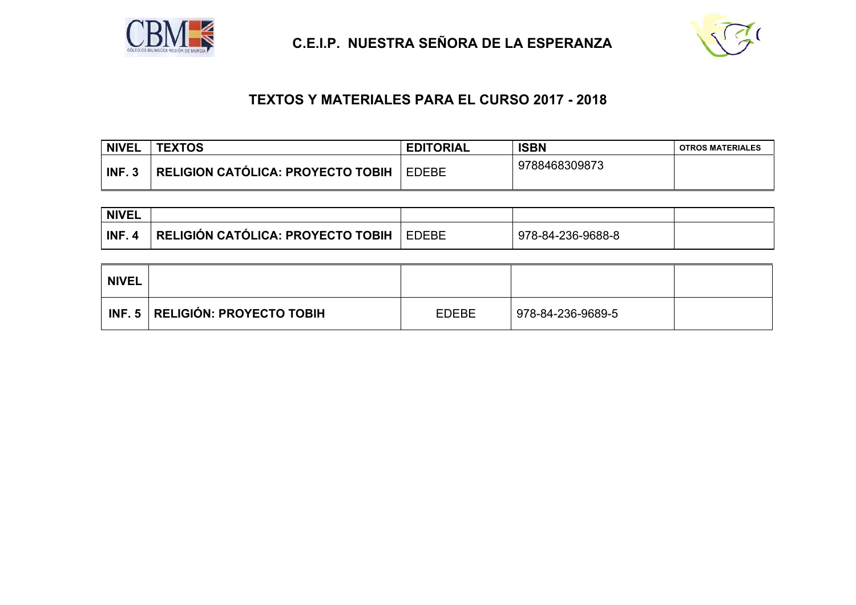

 **C.E.I.P. NUESTRA SEÑORA DE LA ESPERANZA**



## **TEXTOS Y MATERIALES PARA EL CURSO 2017 - 2018**

| <b>NIVEL</b> | <b>TEXTOS</b>                     | <b>EDITORIAL</b> | <b>ISBN</b>   | <b>OTROS MATERIALES</b> |
|--------------|-----------------------------------|------------------|---------------|-------------------------|
| INF.3        | RELIGION CATÓLICA: PROYECTO TOBIH | <b>EDEBE</b>     | 9788468309873 |                         |

| <b>NIVEL</b> |                                      |              |                   |  |
|--------------|--------------------------------------|--------------|-------------------|--|
| <b>INF</b>   | ∣ RELIGIÓN CATÓLICA: PROYECTO TOBIH∣ | <b>EDEBE</b> | 978-84-236-9688-8 |  |

| <b>NIVEL</b> |                                   |              |                   |  |
|--------------|-----------------------------------|--------------|-------------------|--|
|              | INF. 5   RELIGIÓN: PROYECTO TOBIH | <b>EDEBE</b> | 978-84-236-9689-5 |  |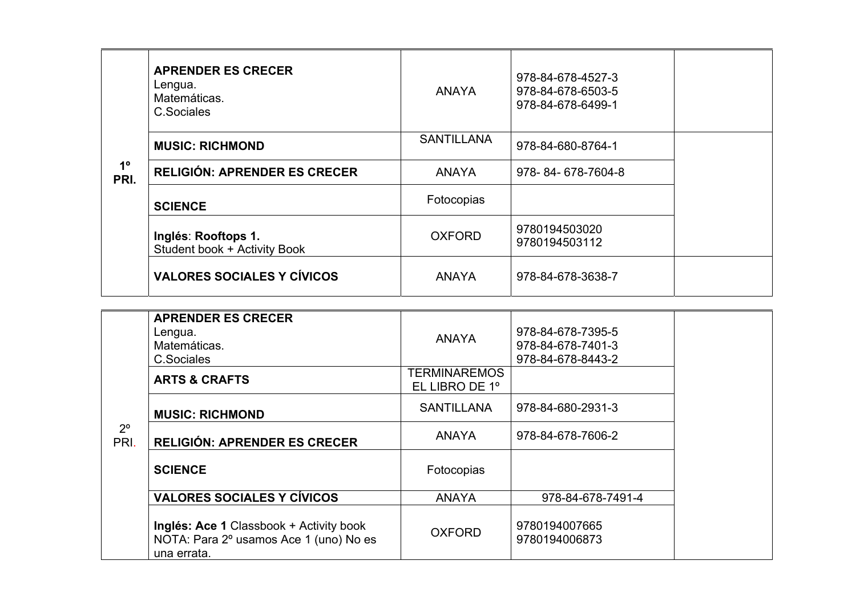|                     | <b>APRENDER ES CRECER</b><br>Lengua.<br>Matemáticas.<br>C.Sociales | <b>ANAYA</b>      | 978-84-678-4527-3<br>978-84-678-6503-5<br>978-84-678-6499-1 |  |
|---------------------|--------------------------------------------------------------------|-------------------|-------------------------------------------------------------|--|
|                     | <b>MUSIC: RICHMOND</b>                                             | <b>SANTILLANA</b> | 978-84-680-8764-1                                           |  |
| $1^{\circ}$<br>PRI. | <b>RELIGIÓN: APRENDER ES CRECER</b>                                | <b>ANAYA</b>      | 978-84-678-7604-8                                           |  |
|                     | <b>SCIENCE</b>                                                     | Fotocopias        |                                                             |  |
|                     | Inglés: Rooftops 1.<br>Student book + Activity Book                | <b>OXFORD</b>     | 9780194503020<br>9780194503112                              |  |
|                     | <b>VALORES SOCIALES Y CÍVICOS</b>                                  | <b>ANAYA</b>      | 978-84-678-3638-7                                           |  |

|                     | <b>APRENDER ES CRECER</b><br>Lengua.<br>Matemáticas.<br>C.Sociales                               | <b>ANAYA</b>                          | 978-84-678-7395-5<br>978-84-678-7401-3<br>978-84-678-8443-2 |
|---------------------|--------------------------------------------------------------------------------------------------|---------------------------------------|-------------------------------------------------------------|
|                     | <b>ARTS &amp; CRAFTS</b>                                                                         | <b>TERMINAREMOS</b><br>EL LIBRO DE 1º |                                                             |
|                     | <b>MUSIC: RICHMOND</b>                                                                           | <b>SANTILLANA</b>                     | 978-84-680-2931-3                                           |
| $2^{\circ}$<br>PRI. | <b>RELIGIÓN: APRENDER ES CRECER</b>                                                              | <b>ANAYA</b>                          | 978-84-678-7606-2                                           |
|                     | <b>SCIENCE</b>                                                                                   | Fotocopias                            |                                                             |
|                     | <b>VALORES SOCIALES Y CÍVICOS</b>                                                                | <b>ANAYA</b>                          | 978-84-678-7491-4                                           |
|                     | Inglés: Ace 1 Classbook + Activity book<br>NOTA: Para 2º usamos Ace 1 (uno) No es<br>una errata. | <b>OXFORD</b>                         | 9780194007665<br>9780194006873                              |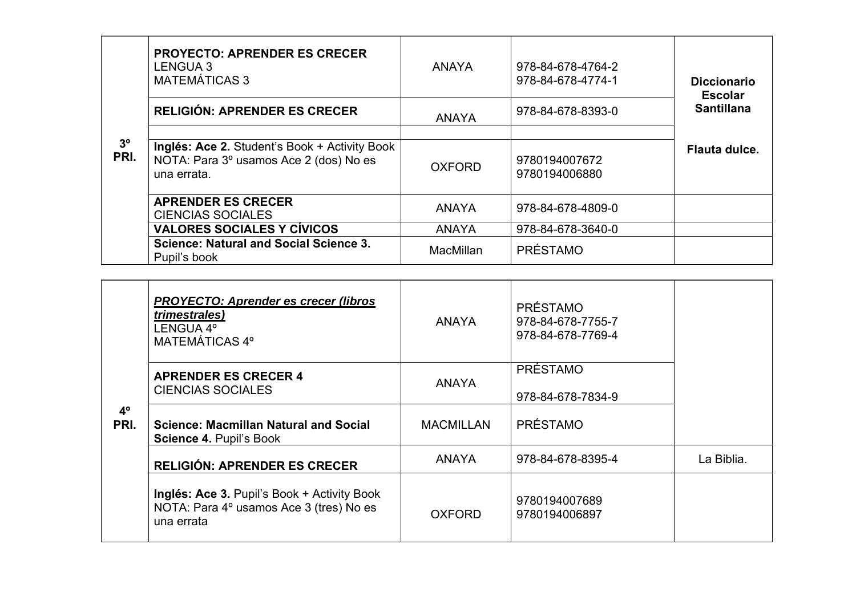|                        | <b>PROYECTO: APRENDER ES CRECER</b><br><b>LENGUA 3</b><br><b>MATEMÁTICAS 3</b>                         | <b>ANAYA</b>  | 978-84-678-4764-2<br>978-84-678-4774-1 | <b>Diccionario</b><br><b>Escolar</b> |
|------------------------|--------------------------------------------------------------------------------------------------------|---------------|----------------------------------------|--------------------------------------|
|                        | <b>RELIGIÓN: APRENDER ES CRECER</b>                                                                    | <b>ANAYA</b>  | 978-84-678-8393-0                      | <b>Santillana</b>                    |
|                        |                                                                                                        |               |                                        |                                      |
| 3 <sup>o</sup><br>PRI. | Inglés: Ace 2. Student's Book + Activity Book<br>NOTA: Para 3º usamos Ace 2 (dos) No es<br>una errata. | <b>OXFORD</b> | 9780194007672<br>9780194006880         | Flauta dulce.                        |
|                        | <b>APRENDER ES CRECER</b><br><b>CIENCIAS SOCIALES</b>                                                  | <b>ANAYA</b>  | 978-84-678-4809-0                      |                                      |
|                        | <b>VALORES SOCIALES Y CÍVICOS</b>                                                                      | <b>ANAYA</b>  | 978-84-678-3640-0                      |                                      |
|                        | <b>Science: Natural and Social Science 3.</b><br>Pupil's book                                          | MacMillan     | <b>PRÉSTAMO</b>                        |                                      |

|                     | <b>PROYECTO: Aprender es crecer (libros)</b><br><i>trimestrales)</i><br>LENGUA 4°<br>MATEMÁTICAS 4°  | <b>ANAYA</b>     | <b>PRÉSTAMO</b><br>978-84-678-7755-7<br>978-84-678-7769-4 |            |
|---------------------|------------------------------------------------------------------------------------------------------|------------------|-----------------------------------------------------------|------------|
|                     | <b>APRENDER ES CRECER 4</b><br><b>CIENCIAS SOCIALES</b>                                              | <b>ANAYA</b>     | <b>PRÉSTAMO</b><br>978-84-678-7834-9                      |            |
| $4^{\circ}$<br>PRI. | Science: Macmillan Natural and Social<br>Science 4. Pupil's Book                                     | <b>MACMILLAN</b> | <b>PRÉSTAMO</b>                                           |            |
|                     | <b>RELIGIÓN: APRENDER ES CRECER</b>                                                                  | <b>ANAYA</b>     | 978-84-678-8395-4                                         | La Biblia. |
|                     | Inglés: Ace 3. Pupil's Book + Activity Book<br>NOTA: Para 4º usamos Ace 3 (tres) No es<br>una errata | <b>OXFORD</b>    | 9780194007689<br>9780194006897                            |            |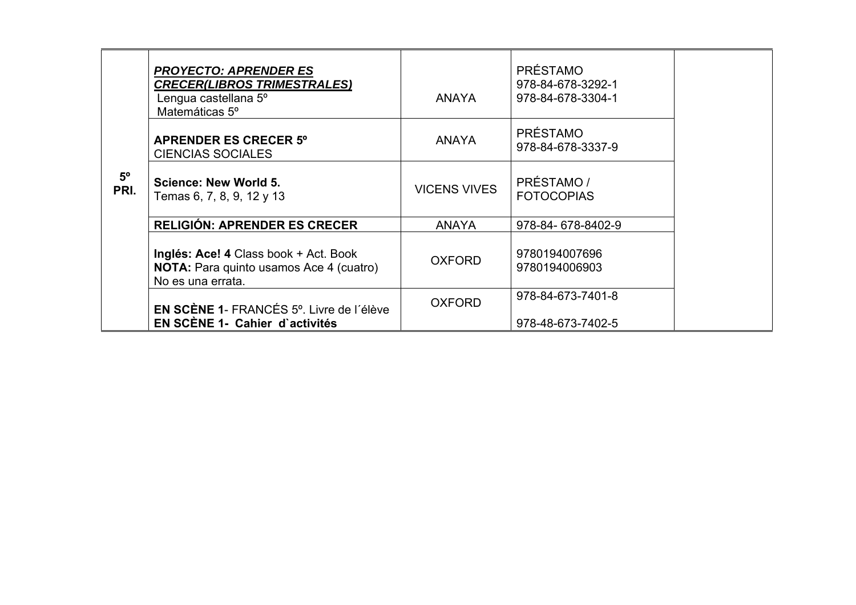|                     | <b>PROYECTO: APRENDER ES</b><br><b>CRECER(LIBROS TRIMESTRALES)</b><br>Lengua castellana 5°<br>Matemáticas 5 <sup>°</sup> | ANAYA               | <b>PRÉSTAMO</b><br>978-84-678-3292-1<br>978-84-678-3304-1 |  |
|---------------------|--------------------------------------------------------------------------------------------------------------------------|---------------------|-----------------------------------------------------------|--|
|                     | <b>APRENDER ES CRECER 5°</b><br><b>CIENCIAS SOCIALES</b>                                                                 | <b>ANAYA</b>        | <b>PRÉSTAMO</b><br>978-84-678-3337-9                      |  |
| $5^{\circ}$<br>PRI. | <b>Science: New World 5.</b><br>Temas 6, 7, 8, 9, 12 y 13                                                                | <b>VICENS VIVES</b> | PRÉSTAMO /<br><b>FOTOCOPIAS</b>                           |  |
|                     | <b>RELIGIÓN: APRENDER ES CRECER</b>                                                                                      | <b>ANAYA</b>        | 978-84-678-8402-9                                         |  |
|                     | Inglés: Ace! 4 Class book + Act. Book<br>NOTA: Para quinto usamos Ace 4 (cuatro)<br>No es una errata.                    | <b>OXFORD</b>       | 9780194007696<br>9780194006903                            |  |
|                     | EN SCÈNE 1- FRANCÉS 5°. Livre de l'élève<br>EN SCÈNE 1- Cahier d'activités                                               | <b>OXFORD</b>       | 978-84-673-7401-8<br>978-48-673-7402-5                    |  |